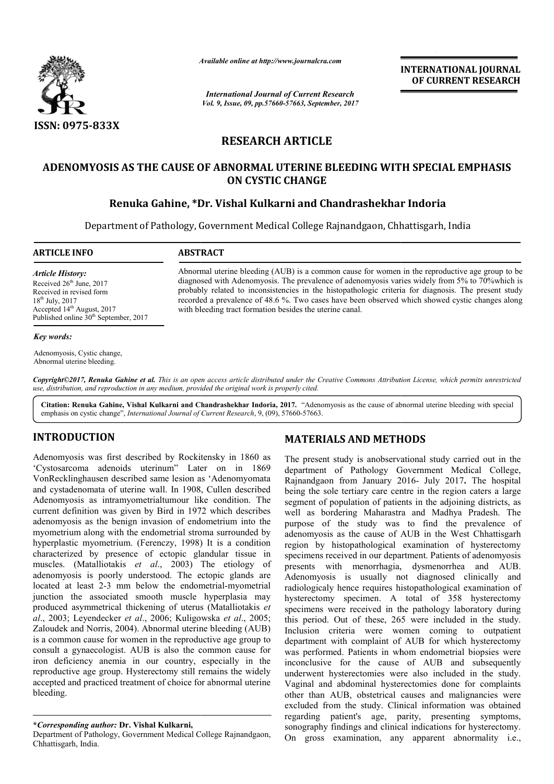

*Available online at http://www.journalcra.com*

*International Journal of Current Research Vol. 9, Issue, 09, pp.57660-57663, September, 2017* **INTERNATIONAL JOURNAL OF CURRENT RESEARCH**

# **RESEARCH ARTICLE**

# ADENOMYOSIS AS THE CAUSE OF ABNORMAL UTERINE BLEEDING WITH SPECIAL EMPHASIS **ON CYSTIC CHANGE**

## **Renuka Gahine, \*Dr. Vishal Kulkarni and Chandrashekhar Indoria**

Department of Pathology, Government Medical College Rajnandgaon, Chhattisgarh, India

**ARTICLE INFO ABSTRACT**

*Article History:* Received 26<sup>th</sup> June, 2017 Received in revised form 18th July, 2017 Accepted 14<sup>th</sup> August, 2017 Published online 30<sup>th</sup> September, 2017

#### *Key words:*

Adenomyosis, Cystic change, Abnormal uterine bleeding.

Copyright©2017, Renuka Gahine et al. This is an open access article distributed under the Creative Commons Attribution License, which permits unrestricted *use, distribution, and reproduction in any medium, provided the original work is properly cited.*

with bleeding tract formation besides the uterine canal.

Citation: Renuka Gahine, Vishal Kulkarni and Chandrashekhar Indoria, 2017. "Adenomyosis as the cause of abnormal uterine bleeding with special emphasis on cystic change", *International Journal of Current Research*, 9, (09), 57660-57663.

## **INTRODUCTION**

Adenomyosis was first described by Rockitensky in 1860 as 'Cystosarcoma adenoids uterinum" Later on in 1869 VonRecklinghausen described same lesion as 'Adenomyomata and cystadenomata of uterine wall. In 1908, Cullen described Adenomyosis as intramyometrialtumour like condition. The current definition was given by Bird in 1972 which describes adenomyosis as the benign invasion of endometrium into the myometrium along with the endometrial stroma surrounded by hyperplastic myometrium. (Ferenczy, 1998) It is a condition characterized by presence of ectopic glandular tissue in muscles. (Matalliotakis *et al*., 2003) The etiology of adenomyosis is poorly understood. The ectopic glands are located at least 2-3 mm below the endometrial-myometrial junction the associated smooth muscle hyperplasia may produced asymmetrical thickening of uterus (Matalliotakis *et al*., 2003; Leyendecker *et al*., 2006; Kuligowska *et al*., 2005; Zaloudek and Norris, 2004). Abnormal uterine bleeding (AUB) is a common cause for women in the reproductive age group to consult a gynaecologist. AUB is also the common cause for iron deficiency anemia in our country, especially in the reproductive age group. Hysterectomy still remains the widely accepted and practiced treatment of choice for abnormal uterine bleeding. ialtumour like condition. The<br>Bird in 1972 which describes<br>asion of endometrium into the<br>lometrial stroma surrounded by<br>enczy, 1998) It is a condition Abnormal uterine bleeding (AUB)<br>hen in the reproductive age group to<br>UB is also the common cause for<br>n our country, especially in the<br>sterectomy still remains the widely

#### **\****Corresponding author:* **Dr. Vishal Kulkarni,**

Department of Pathology, Government Medical College Rajnandgaon, Chhattisgarh, India.

# **MATERIALS AND METHODS METHODS**

Abnormal uterine bleeding (AUB) is a common cause for women in the reproductive age group to be diagnosed with Adenomyosis. The prevalence of adenomyosis varies widely from 5% to 70%which is probably related to inconsistencies in the histopathologic criteria for diagnosis. The present study recorded a prevalence of 48.6 %. Two cases have been observed which showed cystic changes along

Abnormal uterine bleeding (AUB) is a common cause for women in the reproductive age group to l<br>diagnosed with Adenomyosis. The prevalence of adenomyosis varies widely from 5% to 70%which<br>probably related to inconsistencies

The present study is anobservational study carried out in the department of Pathology Government Medical College, department of Pathology Government Medical College,<br>Rajnandgaon from January 2016- July 2017. The hospital being the sole tertiary care centre in the region caters a large segment of population of patients in the adjoining districts, as being the sole tertiary care centre in the region caters a large segment of population of patients in the adjoining districts, as well as bordering Maharastra and Madhya Pradesh. The purpose of the study was to find the prevalence of adenomyosis as the cause of AUB in the West Chhattisgarh adenomyosis as the cause of AUB in the West Chhattisgarh<br>region by histopathological examination of hysterectomy specimens received in our department. Patients of adenomyosis presents with menorrhagia, dysmenorrhea and AUB. Adenomyosis is usually not diagnosed clinically and radiologicaly hence requires histopathological examination of hysterectomy specimen. A total of 358 hysterectomy specimens were received in the pathology laboratory during this period. Out of these, 265 were included in the study. Inclusion criteria were women coming to outpatient department with complaint of AUB for which hysterectomy was performed. Patients in whom endometrial biopsies were inconclusive for the cause of AUB and subsequently underwent hysterectomies were also included in the study. Vaginal and abdominal hysterectomies done for complaints other than AUB, obstetrical causes and malignancies were excluded from the study. Clinical information was obtained regarding patient's age, parity, presenting symptoms, regarding patient's age, parity, presenting symptoms, sonography findings and clinical indications for hysterectomy. On gross examination, any apparent abnormality i.e., specimens received in our department. Patients of adenomyosis presents with menorrhagia, dysmenorrhea and AUB.<br>Adenomyosis is usually not diagnosed clinically and radiologicaly hence requires histopathological examination INTERNATIONAL JOURNAL<br>
OF CURRENT RESEARCH<br>
OF CURRENT RESEARCH<br>
TITH SPECIAL EMPHASIS<br>
TITH SPECIAL EMPHASIS<br>
TITH SPECIAL EMPHASIS<br>
TITH SPECIAL EMPHASIS<br>
TITH SPECIAL EMPHASIS<br>
TITH SPECIAL EMPHASIS<br>
TITH SPECIAL EMPHAS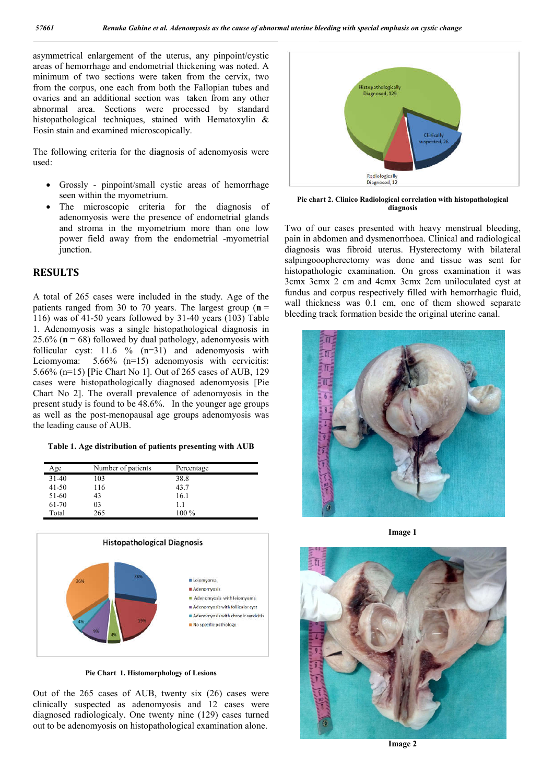asymmetrical enlargement of the uterus, any pinpoint/cystic areas of hemorrhage and endometrial thickening was noted. A minimum of two sections were taken from the cervix, two from the corpus, one each from both the Fallopian tubes and ovaries and an additional section was taken from any other abnormal area. Sections were processed by standard histopathological techniques, stained with Hematoxylin & Eosin stain and examined microscopically.

The following criteria for the diagnosis of adenomyosis were used:

- Grossly pinpoint/small cystic areas of hemorrhage seen within the myometrium.
- The microscopic criteria for the diagnosis of adenomyosis were the presence of endometrial glands and stroma in the myometrium more than one low power field away from the endometrial -myometrial junction.

## **RESULTS**

A total of 265 cases were included in the study. Age of the patients ranged from 30 to 70 years. The largest group (**n** = 116) was of 41-50 years followed by 31-40 years (103) Table 1. Adenomyosis was a single histopathological diagnosis in 25.6% ( $\mathbf{n}$  = 68) followed by dual pathology, adenomyosis with follicular cyst: 11.6 % (n=31) and adenomyosis with Leiomyoma: 5.66% (n=15) adenomyosis with cervicitis: 5.66% (n=15) [Pie Chart No 1]. Out of 265 cases of AUB, 129 cases were histopathologically diagnosed adenomyosis [Pie Chart No 2]. The overall prevalence of adenomyosis in the present study is found to be 48.6%. In the younger age groups as well as the post-menopausal age groups adenomyosis was the leading cause of AUB.

#### **Table 1. Age distribution of patients presenting with AUB**

| Age       | Number of patients | Percentage |  |
|-----------|--------------------|------------|--|
| $31 - 40$ | 103                | 38.8       |  |
| $41 - 50$ | 116                | 43.7       |  |
| 51-60     | 43                 | 16.1       |  |
| 61-70     | 03                 | 1.1        |  |
| Total     | 265                | 100 %      |  |



**Pie Chart 1. Histomorphology of Lesions**

Out of the 265 cases of AUB, twenty six (26) cases were clinically suspected as adenomyosis and 12 cases were diagnosed radiologicaly. One twenty nine (129) cases turned out to be adenomyosis on histopathological examination alone.



**Pie chart 2. Clinico Radiological correlation with histopathological diagnosis**

Two of our cases presented with heavy menstrual bleeding, pain in abdomen and dysmenorrhoea. Clinical and radiological diagnosis was fibroid uterus. Hysterectomy with bilateral salpingooopherectomy was done and tissue was sent for histopathologic examination. On gross examination it was 3cmx 3cmx 2 cm and 4cmx 3cmx 2cm uniloculated cyst at fundus and corpus respectively filled with hemorrhagic fluid, wall thickness was 0.1 cm, one of them showed separate bleeding track formation beside the original uterine canal.



**Image 1**



**Image 2**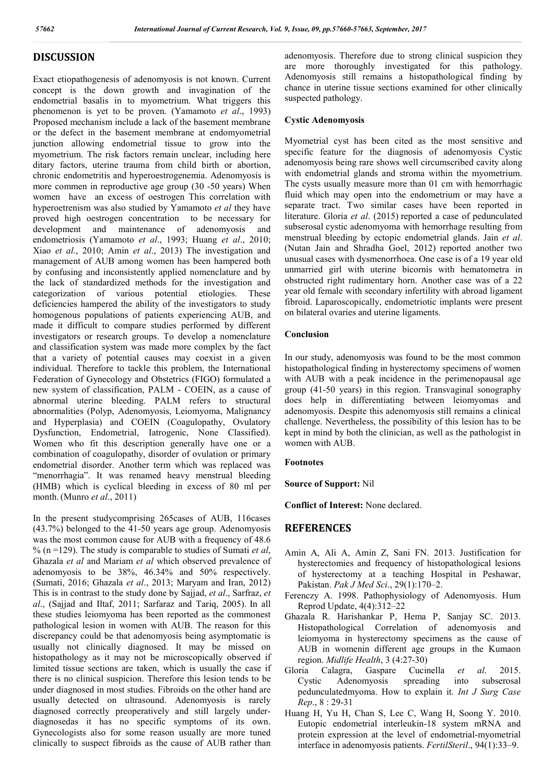## **DISCUSSION**

Exact etiopathogenesis of adenomyosis is not known. Current concept is the down growth and invagination of the endometrial basalis in to myometrium. What triggers this phenomenon is yet to be proven. (Yamamoto *et al*., 1993) Proposed mechanism include a lack of the basement membrane or the defect in the basement membrane at endomyometrial junction allowing endometrial tissue to grow into the myometrium. The risk factors remain unclear, including here ditary factors, uterine trauma from child birth or abortion, chronic endometritis and hyperoestrogenemia. Adenomyosis is more commen in reproductive age group (30 -50 years) When women have an excess of oestrogen This correlation with hyperoetrenism was also studied by Yamamoto *et al* they have proved high oestrogen concentration to be necessary for development and maintenance of adenomyosis and endometriosis (Yamamoto *et al*., 1993; Huang *et al*., 2010; Xiao *et al*., 2010; Amin *et al*., 2013) The investigation and management of AUB among women has been hampered both by confusing and inconsistently applied nomenclature and by the lack of standardized methods for the investigation and categorization of various potential etiologies. These deficiencies hampered the ability of the investigators to study homogenous populations of patients experiencing AUB, and made it difficult to compare studies performed by different investigators or research groups. To develop a nomenclature and classification system was made more complex by the fact that a variety of potential causes may coexist in a given individual. Therefore to tackle this problem, the International Federation of Gynecology and Obstetrics (FIGO) formulated a new system of classification, PALM - COEIN, as a cause of abnormal uterine bleeding. PALM refers to structural abnormalities (Polyp, Adenomyosis, Leiomyoma, Malignancy and Hyperplasia) and COEIN (Coagulopathy, Ovulatory Dysfunction, Endometrial, Iatrogenic, None Classified). Women who fit this description generally have one or a combination of coagulopathy, disorder of ovulation or primary endometrial disorder. Another term which was replaced was "menorrhagia". It was renamed heavy menstrual bleeding (HMB) which is cyclical bleeding in excess of 80 ml per month. (Munro *et al*., 2011)

In the present studycomprising 265cases of AUB, 116cases (43.7%) belonged to the 41-50 years age group. Adenomyosis was the most common cause for AUB with a frequency of 48.6 % (n =129). The study is comparable to studies of Sumati *et al*, Ghazala *et al* and Mariam *et al* which observed prevalence of adenomyosis to be 38%, 46.34% and 50% respectively. (Sumati, 2016; Ghazala *et al*., 2013; Maryam and Iran, 2012) This is in contrast to the study done by Sajjad, *et al*., Sarfraz, *et al*., (Sajjad and Iltaf, 2011; Sarfaraz and Tariq, 2005). In all these studies leiomyoma has been reported as the commonest pathological lesion in women with AUB. The reason for this discrepancy could be that adenomyosis being asymptomatic is usually not clinically diagnosed. It may be missed on histopathology as it may not be microscopically observed if limited tissue sections are taken, which is usually the case if there is no clinical suspicion. Therefore this lesion tends to be under diagnosed in most studies. Fibroids on the other hand are usually detected on ultrasound. Adenomyosis is rarely diagnosed correctly preoperatively and still largely underdiagnosedas it has no specific symptoms of its own. Gynecologists also for some reason usually are more tuned clinically to suspect fibroids as the cause of AUB rather than

adenomyosis. Therefore due to strong clinical suspicion they are more thoroughly investigated for this pathology. Adenomyosis still remains a histopathological finding by chance in uterine tissue sections examined for other clinically suspected pathology.

#### **Cystic Adenomyosis**

Myometrial cyst has been cited as the most sensitive and specific feature for the diagnosis of adenomyosis Cystic adenomyosis being rare shows well circumscribed cavity along with endometrial glands and stroma within the myometrium. The cysts usually measure more than 01 cm with hemorrhagic fluid which may open into the endometrium or may have a separate tract. Two similar cases have been reported in literature. Gloria *et al*. (2015) reported a case of pedunculated subserosal cystic adenomyoma with hemorrhage resulting from menstrual bleeding by ectopic endometrial glands. Jain *et al*. (Nutan Jain and Shradha Goel, 2012) reported another two unusual cases with dysmenorrhoea. One case is of a 19 year old unmarried girl with uterine bicornis with hematometra in obstructed right rudimentary horn. Another case was of a 22 year old female with secondary infertility with abroad ligament fibroid. Laparoscopically, endometriotic implants were present on bilateral ovaries and uterine ligaments.

#### **Conclusion**

In our study, adenomyosis was found to be the most common histopathological finding in hysterectomy specimens of women with AUB with a peak incidence in the perimenopausal age group (41-50 years) in this region. Transvaginal sonography does help in differentiating between leiomyomas and adenomyosis. Despite this adenomyosis still remains a clinical challenge. Nevertheless, the possibility of this lesion has to be kept in mind by both the clinician, as well as the pathologist in women with AUB.

#### **Footnotes**

**Source of Support:** Nil

**Conflict of Interest:** None declared.

### **REFERENCES**

- Amin A, Ali A, Amin Z, Sani FN. 2013. Justification for hysterectomies and frequency of histopathological lesions of hysterectomy at a teaching Hospital in Peshawar, Pakistan. *Pak J Med Sci*., 29(1):170–2.
- Ferenczy A. 1998. Pathophysiology of Adenomyosis. Hum Reprod Update, 4(4):312–22
- Ghazala R. Harishankar P, Hema P, Sanjay SC. 2013. Histopathological Correlation of adenomyosis and leiomyoma in hysterectomy specimens as the cause of AUB in womenin different age groups in the Kumaon region. *Midlife Health*, 3 (4:27-30)
- Gloria Calagra, Gaspare Cucinella *et al*. 2015. Cystic Adenomyosis spreading into subserosal pedunculatedmyoma. How to explain it. *Int J Surg Case Rep*., 8 : 29-31
- Huang H, Yu H, Chan S, Lee C, Wang H, Soong Y. 2010. Eutopic endometrial interleukin-18 system mRNA and protein expression at the level of endometrial-myometrial interface in adenomyosis patients. *FertilSteril*., 94(1):33–9.